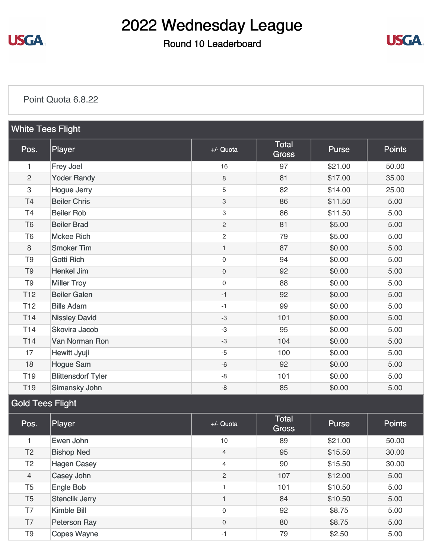

### Round 10 Leaderboard



#### [Point Quota 6.8.22](https://static.golfgenius.com/v2tournaments/8548579918462606171?called_from=&round_index=10)

| <b>White Tees Flight</b>                            |                           |                     |                              |              |               |
|-----------------------------------------------------|---------------------------|---------------------|------------------------------|--------------|---------------|
| Pos.                                                | Player                    | $+/-$ Quota         | <b>Total</b><br><b>Gross</b> | <b>Purse</b> | <b>Points</b> |
| 1                                                   | Frey Joel                 | 16                  | 97                           | \$21.00      | 50.00         |
| $\overline{2}$                                      | <b>Yoder Randy</b>        | 8                   | 81                           | \$17.00      | 35.00         |
| 3                                                   | Hogue Jerry               | 5                   | 82                           | \$14.00      | 25.00         |
| T4                                                  | <b>Beiler Chris</b>       | 3                   | 86                           | \$11.50      | 5.00          |
| T <sub>4</sub>                                      | <b>Beiler Rob</b>         | 3                   | 86                           | \$11.50      | 5.00          |
| T <sub>6</sub>                                      | <b>Beiler Brad</b>        | $\overline{c}$      | 81                           | \$5.00       | 5.00          |
| T <sub>6</sub>                                      | <b>Mckee Rich</b>         | $\overline{c}$      | 79                           | \$5.00       | 5.00          |
| 8                                                   | <b>Smoker Tim</b>         | $\mathbf{1}$        | 87                           | \$0.00       | 5.00          |
| T <sub>9</sub>                                      | <b>Gotti Rich</b>         | $\mathsf{O}\xspace$ | 94                           | \$0.00       | 5.00          |
| T <sub>9</sub>                                      | <b>Henkel Jim</b>         | $\mathsf{O}\xspace$ | 92                           | \$0.00       | 5.00          |
| T <sub>9</sub>                                      | <b>Miller Troy</b>        | $\mathsf{O}\xspace$ | 88                           | \$0.00       | 5.00          |
| <b>T12</b>                                          | <b>Beiler Galen</b>       | $-1$                | 92                           | \$0.00       | 5.00          |
| T <sub>12</sub>                                     | <b>Bills Adam</b>         | $-1$                | 99                           | \$0.00       | 5.00          |
| T14                                                 | <b>Nissley David</b>      | $-3$                | 101                          | \$0.00       | 5.00          |
| T <sub>14</sub>                                     | Skovira Jacob             | $-3$                | 95                           | \$0.00       | 5.00          |
| T <sub>14</sub>                                     | Van Norman Ron            | $-3$                | 104                          | \$0.00       | 5.00          |
| 17                                                  | Hewitt Jyuji              | $-5$                | 100                          | \$0.00       | 5.00          |
| 18                                                  | <b>Hogue Sam</b>          | $-6$                | 92                           | \$0.00       | 5.00          |
| T <sub>19</sub>                                     | <b>Blittensdorf Tyler</b> | -8                  | 101                          | \$0.00       | 5.00          |
| T <sub>19</sub>                                     | Simansky John             | -8                  | 85                           | \$0.00       | 5.00          |
| $\bigcap$ and $\bigcap$ and $\bigcap$ and $\bigcap$ |                           |                     |                              |              |               |

#### Gold Tees Flight

| Pos.           | Player                | $+/-$ Quota    | <b>Total</b><br><b>Gross</b> | <b>Purse</b> | <b>Points</b> |
|----------------|-----------------------|----------------|------------------------------|--------------|---------------|
|                | Ewen John             | 10             | 89                           | \$21.00      | 50.00         |
| T <sub>2</sub> | <b>Bishop Ned</b>     | $\overline{4}$ | 95                           | \$15.50      | 30.00         |
| T <sub>2</sub> | <b>Hagen Casey</b>    | $\overline{4}$ | 90                           | \$15.50      | 30.00         |
| $\overline{4}$ | Casey John            | 2              | 107                          | \$12.00      | 5.00          |
| T <sub>5</sub> | Engle Bob             |                | 101                          | \$10.50      | 5.00          |
| T <sub>5</sub> | <b>Stenclik Jerry</b> |                | 84                           | \$10.50      | 5.00          |
| T7             | Kimble Bill           | $\mathbf 0$    | 92                           | \$8.75       | 5.00          |
| T7             | Peterson Ray          | $\mathbf 0$    | 80                           | \$8.75       | 5.00          |
| T <sub>9</sub> | <b>Copes Wayne</b>    | -1             | 79                           | \$2.50       | 5.00          |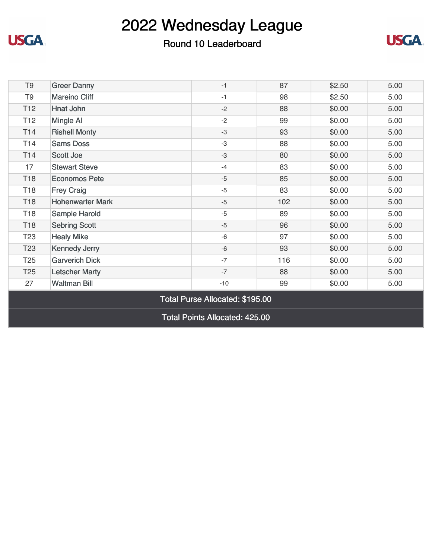

### Round 10 Leaderboard



| T <sub>9</sub>                        | <b>Greer Danny</b>      | $-1$  | 87  | \$2.50 | 5.00 |
|---------------------------------------|-------------------------|-------|-----|--------|------|
| T <sub>9</sub>                        | <b>Mareino Cliff</b>    | $-1$  | 98  | \$2.50 | 5.00 |
| T <sub>12</sub>                       | Hnat John               | $-2$  | 88  | \$0.00 | 5.00 |
| T <sub>12</sub>                       | Mingle Al               | $-2$  | 99  | \$0.00 | 5.00 |
| T <sub>14</sub>                       | <b>Rishell Monty</b>    | $-3$  | 93  | \$0.00 | 5.00 |
| T14                                   | <b>Sams Doss</b>        | $-3$  | 88  | \$0.00 | 5.00 |
| T14                                   | <b>Scott Joe</b>        | $-3$  | 80  | \$0.00 | 5.00 |
| 17                                    | <b>Stewart Steve</b>    | $-4$  | 83  | \$0.00 | 5.00 |
| T <sub>18</sub>                       | <b>Economos Pete</b>    | $-5$  | 85  | \$0.00 | 5.00 |
| T <sub>18</sub>                       | <b>Frey Craig</b>       | $-5$  | 83  | \$0.00 | 5.00 |
| T <sub>18</sub>                       | <b>Hohenwarter Mark</b> | $-5$  | 102 | \$0.00 | 5.00 |
| T <sub>18</sub>                       | Sample Harold           | $-5$  | 89  | \$0.00 | 5.00 |
| T <sub>18</sub>                       | <b>Sebring Scott</b>    | $-5$  | 96  | \$0.00 | 5.00 |
| T <sub>23</sub>                       | <b>Healy Mike</b>       | $-6$  | 97  | \$0.00 | 5.00 |
| T <sub>23</sub>                       | <b>Kennedy Jerry</b>    | $-6$  | 93  | \$0.00 | 5.00 |
| T <sub>25</sub>                       | <b>Garverich Dick</b>   | $-7$  | 116 | \$0.00 | 5.00 |
| T <sub>25</sub>                       | <b>Letscher Marty</b>   | $-7$  | 88  | \$0.00 | 5.00 |
| 27                                    | <b>Waltman Bill</b>     | $-10$ | 99  | \$0.00 | 5.00 |
| Total Purse Allocated: \$195.00       |                         |       |     |        |      |
| <b>Total Points Allocated: 425.00</b> |                         |       |     |        |      |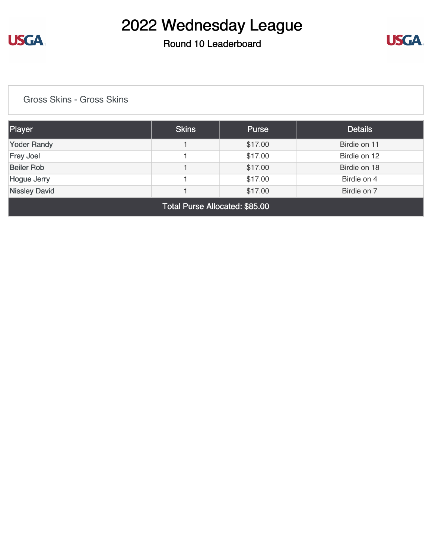

### Round 10 Leaderboard



[Gross Skins - Gross Skins](https://static.golfgenius.com/v2tournaments/8548581995716827996?called_from=&round_index=10)

| Player                                         | <b>Skins</b> | <b>Purse</b> | <b>Details</b> |  |  |  |
|------------------------------------------------|--------------|--------------|----------------|--|--|--|
| <b>Yoder Randy</b>                             |              | \$17.00      | Birdie on 11   |  |  |  |
| <b>Frey Joel</b>                               |              | \$17.00      | Birdie on 12   |  |  |  |
| <b>Beiler Rob</b>                              |              | \$17.00      | Birdie on 18   |  |  |  |
| \$17.00<br>Birdie on 4<br>Hogue Jerry          |              |              |                |  |  |  |
| <b>Nissley David</b><br>Birdie on 7<br>\$17.00 |              |              |                |  |  |  |
| Total Purse Allocated: \$85.00                 |              |              |                |  |  |  |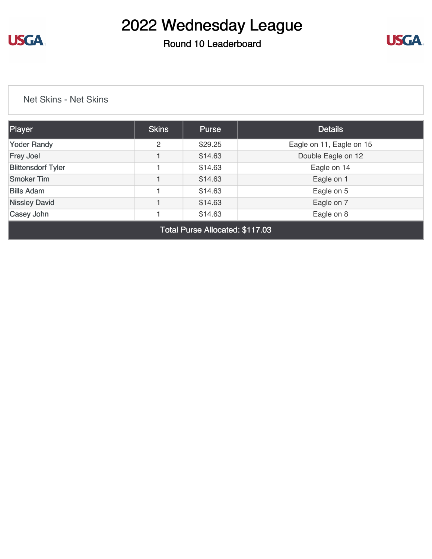

Round 10 Leaderboard



[Net Skins - Net Skins](https://static.golfgenius.com/v2tournaments/8548583383159036765?called_from=&round_index=10)

| Player                    | <b>Skins</b> | <b>Purse</b> | <b>Details</b>           |  |
|---------------------------|--------------|--------------|--------------------------|--|
| <b>Yoder Randy</b>        | 2            | \$29.25      | Eagle on 11, Eagle on 15 |  |
| <b>Frey Joel</b>          |              | \$14.63      | Double Eagle on 12       |  |
| <b>Blittensdorf Tyler</b> |              | \$14.63      | Eagle on 14              |  |
| <b>Smoker Tim</b>         |              | \$14.63      | Eagle on 1               |  |
| <b>Bills Adam</b>         |              | \$14.63      | Eagle on 5               |  |
| <b>Nissley David</b>      |              | \$14.63      | Eagle on 7               |  |
| Casey John                |              | \$14.63      | Eagle on 8               |  |
| ____                      |              |              |                          |  |

Total Purse Allocated: \$117.03